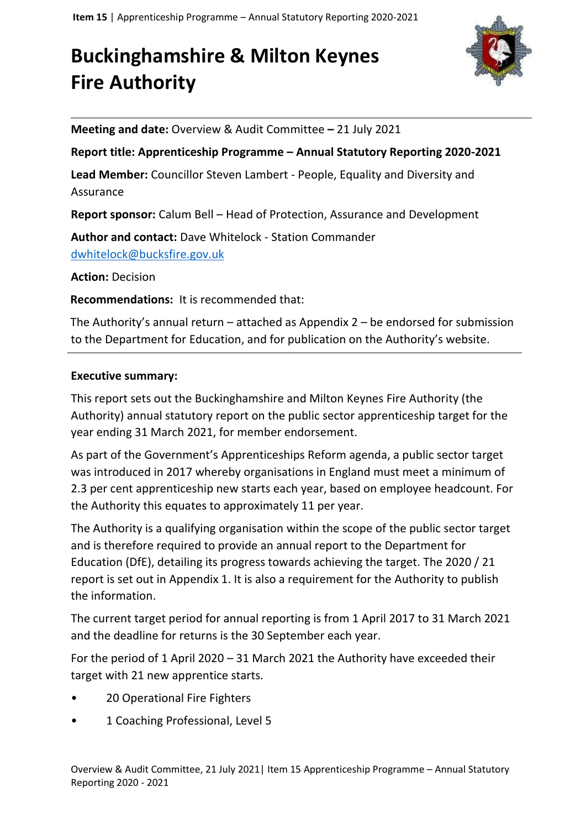# **Buckinghamshire & Milton Keynes Fire Authority**



**Meeting and date:** Overview & Audit Committee **–** 21 July 2021

#### **Report title: Apprenticeship Programme – Annual Statutory Reporting 2020-2021**

**Lead Member:** Councillor Steven Lambert - People, Equality and Diversity and Assurance

**Report sponsor:** Calum Bell – Head of Protection, Assurance and Development

**Author and contact:** Dave Whitelock - Station Commander [dwhitelock@bucksfire.gov.uk](mailto:dwhitelock@bucksfire.gov.uk)

**Action:** Decision

**Recommendations:** It is recommended that:

The Authority's annual return – attached as Appendix 2 – be endorsed for submission to the Department for Education, and for publication on the Authority's website.

#### **Executive summary:**

This report sets out the Buckinghamshire and Milton Keynes Fire Authority (the Authority) annual statutory report on the public sector apprenticeship target for the year ending 31 March 2021, for member endorsement.

As part of the Government's Apprenticeships Reform agenda, a public sector target was introduced in 2017 whereby organisations in England must meet a minimum of 2.3 per cent apprenticeship new starts each year, based on employee headcount. For the Authority this equates to approximately 11 per year.

The Authority is a qualifying organisation within the scope of the public sector target and is therefore required to provide an annual report to the Department for Education (DfE), detailing its progress towards achieving the target. The 2020 / 21 report is set out in Appendix 1. It is also a requirement for the Authority to publish the information.

The current target period for annual reporting is from 1 April 2017 to 31 March 2021 and the deadline for returns is the 30 September each year.

For the period of 1 April 2020 – 31 March 2021 the Authority have exceeded their target with 21 new apprentice starts.

- 20 Operational Fire Fighters
- 1 Coaching Professional, Level 5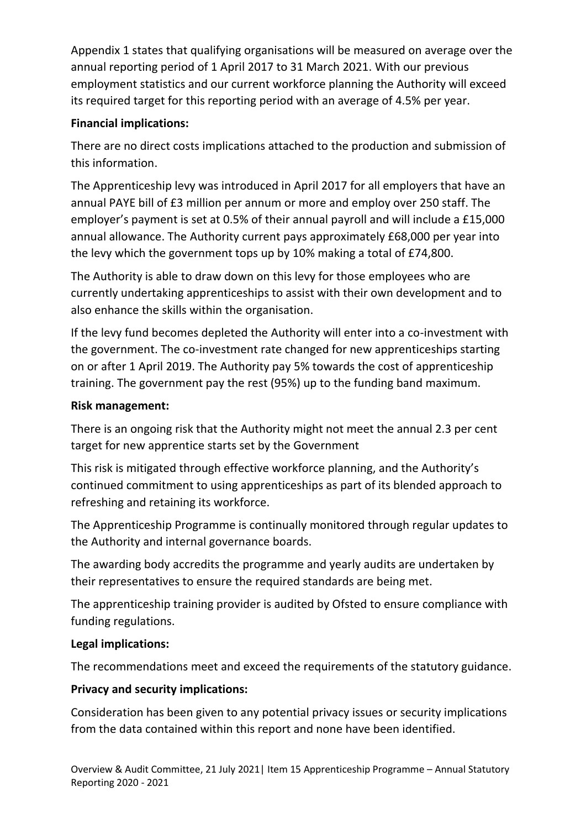Appendix 1 states that qualifying organisations will be measured on average over the annual reporting period of 1 April 2017 to 31 March 2021. With our previous employment statistics and our current workforce planning the Authority will exceed its required target for this reporting period with an average of 4.5% per year.

## **Financial implications:**

There are no direct costs implications attached to the production and submission of this information.

The Apprenticeship levy was introduced in April 2017 for all employers that have an annual PAYE bill of £3 million per annum or more and employ over 250 staff. The employer's payment is set at 0.5% of their annual payroll and will include a £15,000 annual allowance. The Authority current pays approximately £68,000 per year into the levy which the government tops up by 10% making a total of £74,800.

The Authority is able to draw down on this levy for those employees who are currently undertaking apprenticeships to assist with their own development and to also enhance the skills within the organisation.

If the levy fund becomes depleted the Authority will enter into a co-investment with the government. The co-investment rate changed for new apprenticeships starting on or after 1 April 2019. The Authority pay 5% towards the cost of apprenticeship training. The government pay the rest (95%) up to the funding band maximum.

#### **Risk management:**

There is an ongoing risk that the Authority might not meet the annual 2.3 per cent target for new apprentice starts set by the Government

This risk is mitigated through effective workforce planning, and the Authority's continued commitment to using apprenticeships as part of its blended approach to refreshing and retaining its workforce.

The Apprenticeship Programme is continually monitored through regular updates to the Authority and internal governance boards.

The awarding body accredits the programme and yearly audits are undertaken by their representatives to ensure the required standards are being met.

The apprenticeship training provider is audited by Ofsted to ensure compliance with funding regulations.

## **Legal implications:**

The recommendations meet and exceed the requirements of the statutory guidance.

## **Privacy and security implications:**

Consideration has been given to any potential privacy issues or security implications from the data contained within this report and none have been identified.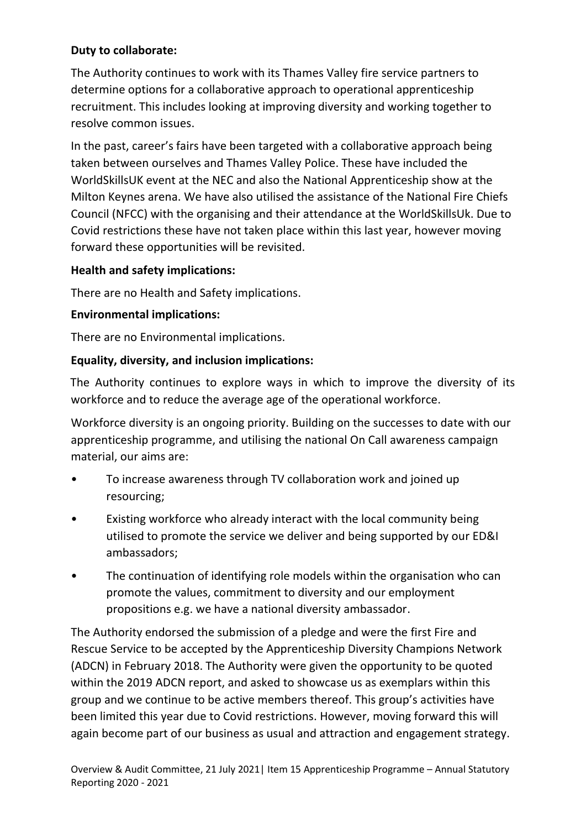## **Duty to collaborate:**

The Authority continues to work with its Thames Valley fire service partners to determine options for a collaborative approach to operational apprenticeship recruitment. This includes looking at improving diversity and working together to resolve common issues.

In the past, career's fairs have been targeted with a collaborative approach being taken between ourselves and Thames Valley Police. These have included the WorldSkillsUK event at the NEC and also the National Apprenticeship show at the Milton Keynes arena. We have also utilised the assistance of the National Fire Chiefs Council (NFCC) with the organising and their attendance at the WorldSkillsUk. Due to Covid restrictions these have not taken place within this last year, however moving forward these opportunities will be revisited.

## **Health and safety implications:**

There are no Health and Safety implications.

## **Environmental implications:**

There are no Environmental implications.

## **Equality, diversity, and inclusion implications:**

The Authority continues to explore ways in which to improve the diversity of its workforce and to reduce the average age of the operational workforce.

Workforce diversity is an ongoing priority. Building on the successes to date with our apprenticeship programme, and utilising the national On Call awareness campaign material, our aims are:

- To increase awareness through TV collaboration work and joined up resourcing;
- Existing workforce who already interact with the local community being utilised to promote the service we deliver and being supported by our ED&I ambassadors;
- The continuation of identifying role models within the organisation who can promote the values, commitment to diversity and our employment propositions e.g. we have a national diversity ambassador.

The Authority endorsed the submission of a pledge and were the first Fire and Rescue Service to be accepted by the Apprenticeship Diversity Champions Network (ADCN) in February 2018. The Authority were given the opportunity to be quoted within the 2019 ADCN report, and asked to showcase us as exemplars within this group and we continue to be active members thereof. This group's activities have been limited this year due to Covid restrictions. However, moving forward this will again become part of our business as usual and attraction and engagement strategy.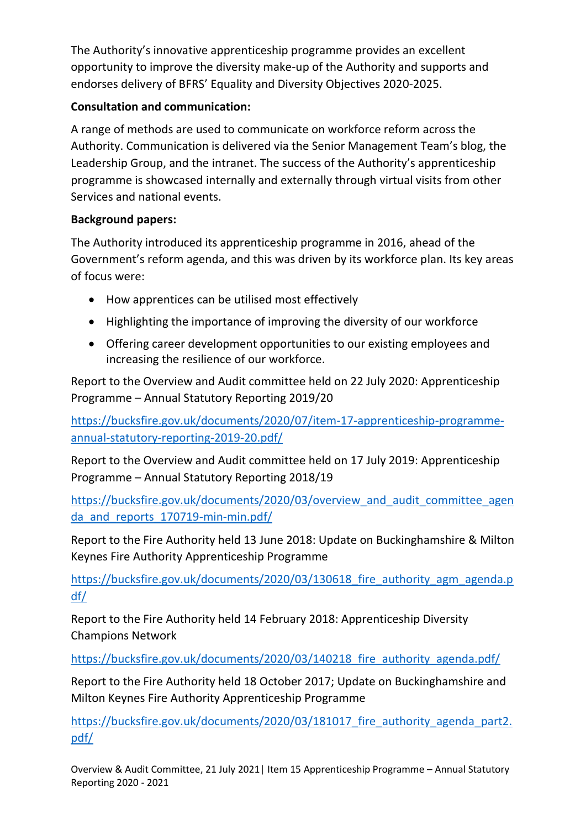The Authority's innovative apprenticeship programme provides an excellent opportunity to improve the diversity make-up of the Authority and supports and endorses delivery of BFRS' Equality and Diversity Objectives 2020-2025.

## **Consultation and communication:**

A range of methods are used to communicate on workforce reform across the Authority. Communication is delivered via the Senior Management Team's blog, the Leadership Group, and the intranet. The success of the Authority's apprenticeship programme is showcased internally and externally through virtual visits from other Services and national events.

## **Background papers:**

The Authority introduced its apprenticeship programme in 2016, ahead of the Government's reform agenda, and this was driven by its workforce plan. Its key areas of focus were:

- How apprentices can be utilised most effectively
- Highlighting the importance of improving the diversity of our workforce
- Offering career development opportunities to our existing employees and increasing the resilience of our workforce.

Report to the Overview and Audit committee held on 22 July 2020: Apprenticeship Programme – Annual Statutory Reporting 2019/20

[https://bucksfire.gov.uk/documents/2020/07/item-17-apprenticeship-programme](https://bucksfire.gov.uk/documents/2020/07/item-17-apprenticeship-programme-annual-statutory-reporting-2019-20.pdf/)[annual-statutory-reporting-2019-20.pdf/](https://bucksfire.gov.uk/documents/2020/07/item-17-apprenticeship-programme-annual-statutory-reporting-2019-20.pdf/)

Report to the Overview and Audit committee held on 17 July 2019: Apprenticeship Programme – Annual Statutory Reporting 2018/19

[https://bucksfire.gov.uk/documents/2020/03/overview\\_and\\_audit\\_committee\\_agen](https://bucksfire.gov.uk/documents/2020/03/overview_and_audit_committee_agenda_and_reports_170719-min-min.pdf/) da and reports 170719-min-min.pdf/

Report to the Fire Authority held 13 June 2018: Update on Buckinghamshire & Milton Keynes Fire Authority Apprenticeship Programme

https://bucksfire.gov.uk/documents/2020/03/130618 fire authority agm agenda.p [df/](https://bucksfire.gov.uk/documents/2020/03/130618_fire_authority_agm_agenda.pdf/)

Report to the Fire Authority held 14 February 2018: Apprenticeship Diversity Champions Network

https://bucksfire.gov.uk/documents/2020/03/140218 fire authority agenda.pdf/

Report to the Fire Authority held 18 October 2017; Update on Buckinghamshire and Milton Keynes Fire Authority Apprenticeship Programme

https://bucksfire.gov.uk/documents/2020/03/181017 fire authority agenda part2. [pdf/](https://bucksfire.gov.uk/documents/2020/03/181017_fire_authority_agenda_part2.pdf/)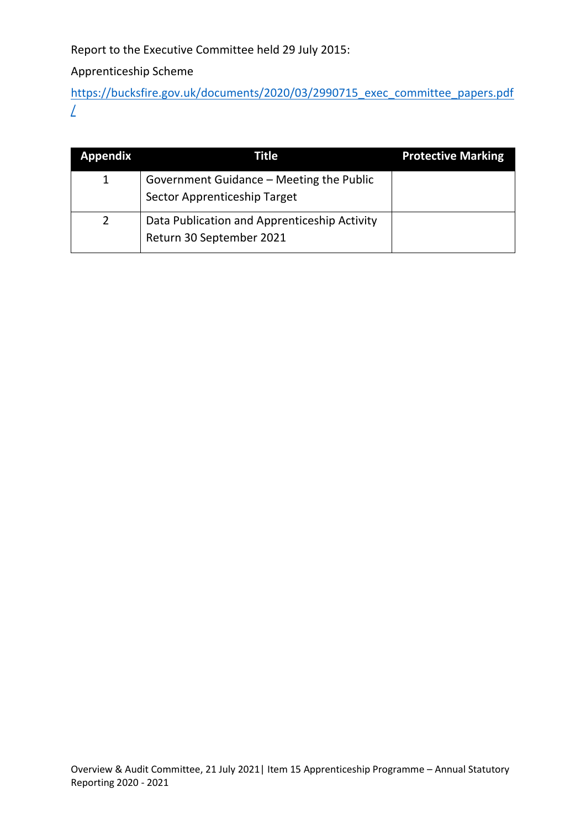Report to the Executive Committee held 29 July 2015:

Apprenticeship Scheme

[https://bucksfire.gov.uk/documents/2020/03/2990715\\_exec\\_committee\\_papers.pdf](https://bucksfire.gov.uk/documents/2020/03/2990715_exec_committee_papers.pdf/) [/](https://bucksfire.gov.uk/documents/2020/03/2990715_exec_committee_papers.pdf/)

| <b>Appendix</b> | Title                                                                    | <b>Protective Marking</b> |
|-----------------|--------------------------------------------------------------------------|---------------------------|
|                 | Government Guidance - Meeting the Public<br>Sector Apprenticeship Target |                           |
|                 | Data Publication and Apprenticeship Activity<br>Return 30 September 2021 |                           |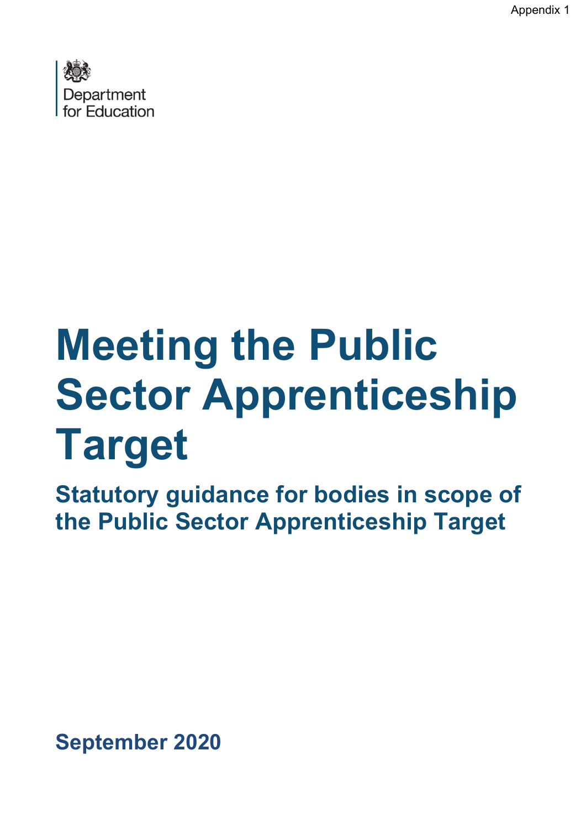Appendix 1



# **Meeting the Public Sector Apprenticeship Target**

**Statutory guidance for bodies in scope of the Public Sector Apprenticeship Target**

**September 2020**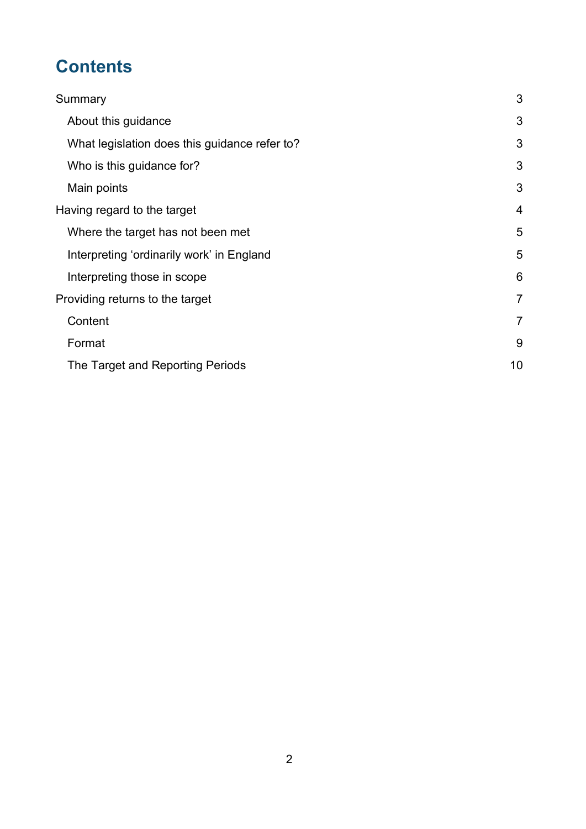# **Contents**

| Summary                                       | 3              |
|-----------------------------------------------|----------------|
| About this guidance                           | 3              |
| What legislation does this guidance refer to? | 3              |
| Who is this guidance for?                     | 3              |
| Main points                                   | 3              |
| Having regard to the target                   | 4              |
| Where the target has not been met             | 5              |
| Interpreting 'ordinarily work' in England     | 5              |
| Interpreting those in scope                   | 6              |
| Providing returns to the target               |                |
| Content                                       | $\overline{7}$ |
| Format                                        | 9              |
| The Target and Reporting Periods              | 10             |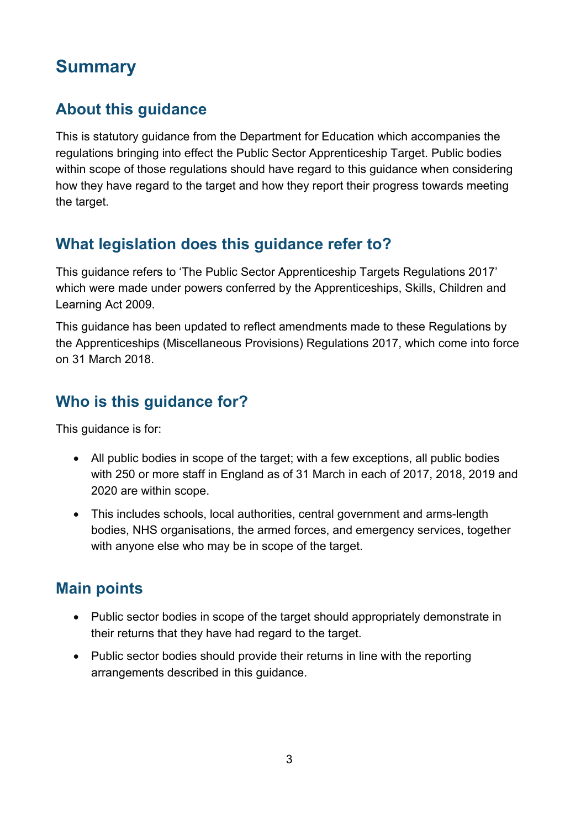# <span id="page-7-0"></span>**Summary**

# <span id="page-7-1"></span>**About this guidance**

This is statutory guidance from the Department for Education which accompanies the regulations bringing into effect the Public Sector Apprenticeship Target. Public bodies within scope of those regulations should have regard to this guidance when considering how they have regard to the target and how they report their progress towards meeting the target.

# <span id="page-7-2"></span>**What legislation does this guidance refer to?**

This guidance refers to 'The Public Sector Apprenticeship Targets Regulations 2017' which were made under powers conferred by the Apprenticeships, Skills, Children and Learning Act 2009.

This guidance has been updated to reflect amendments made to these Regulations by the Apprenticeships (Miscellaneous Provisions) Regulations 2017, which come into force on 31 March 2018.

# <span id="page-7-3"></span>**Who is this guidance for?**

This guidance is for:

- All public bodies in scope of the target; with a few exceptions, all public bodies with 250 or more staff in England as of 31 March in each of 2017, 2018, 2019 and 2020 are within scope.
- This includes schools, local authorities, central government and arms-length bodies, NHS organisations, the armed forces, and emergency services, together with anyone else who may be in scope of the target.

# <span id="page-7-4"></span>**Main points**

- Public sector bodies in scope of the target should appropriately demonstrate in their returns that they have had regard to the target.
- Public sector bodies should provide their returns in line with the reporting arrangements described in this guidance.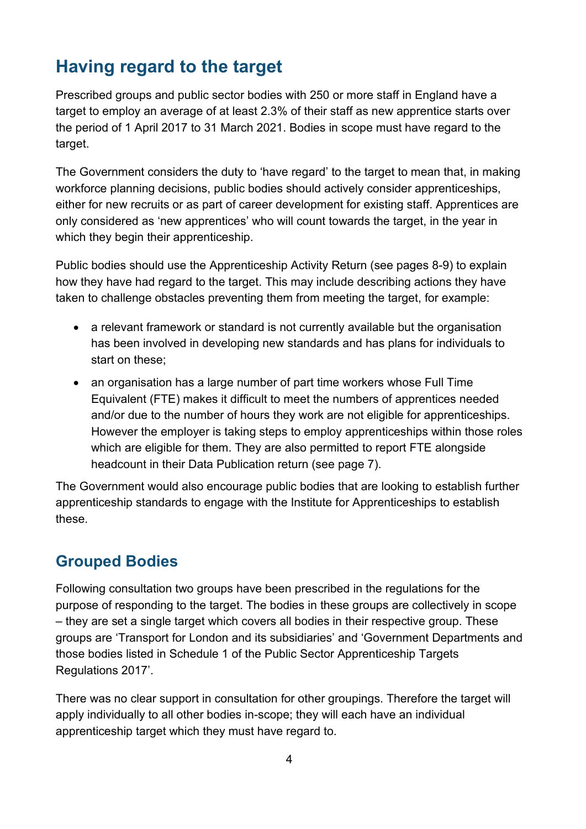# <span id="page-8-0"></span>**Having regard to the target**

Prescribed groups and public sector bodies with 250 or more staff in England have a target to employ an average of at least 2.3% of their staff as new apprentice starts over the period of 1 April 2017 to 31 March 2021. Bodies in scope must have regard to the target.

The Government considers the duty to 'have regard' to the target to mean that, in making workforce planning decisions, public bodies should actively consider apprenticeships, either for new recruits or as part of career development for existing staff. Apprentices are only considered as 'new apprentices' who will count towards the target, in the year in which they begin their apprenticeship.

Public bodies should use the Apprenticeship Activity Return (see pages 8-9) to explain how they have had regard to the target. This may include describing actions they have taken to challenge obstacles preventing them from meeting the target, for example:

- a relevant framework or standard is not currently available but the organisation has been involved in developing new standards and has plans for individuals to start on these;
- an organisation has a large number of part time workers whose Full Time Equivalent (FTE) makes it difficult to meet the numbers of apprentices needed and/or due to the number of hours they work are not eligible for apprenticeships. However the employer is taking steps to employ apprenticeships within those roles which are eligible for them. They are also permitted to report FTE alongside headcount in their Data Publication return (see page 7).

The Government would also encourage public bodies that are looking to establish further apprenticeship standards to engage with the Institute for Apprenticeships to establish these.

# **Grouped Bodies**

Following consultation two groups have been prescribed in the regulations for the purpose of responding to the target. The bodies in these groups are collectively in scope – they are set a single target which covers all bodies in their respective group. These groups are 'Transport for London and its subsidiaries' and 'Government Departments and those bodies listed in Schedule 1 of the Public Sector Apprenticeship Targets Regulations 2017'.

There was no clear support in consultation for other groupings. Therefore the target will apply individually to all other bodies in-scope; they will each have an individual apprenticeship target which they must have regard to.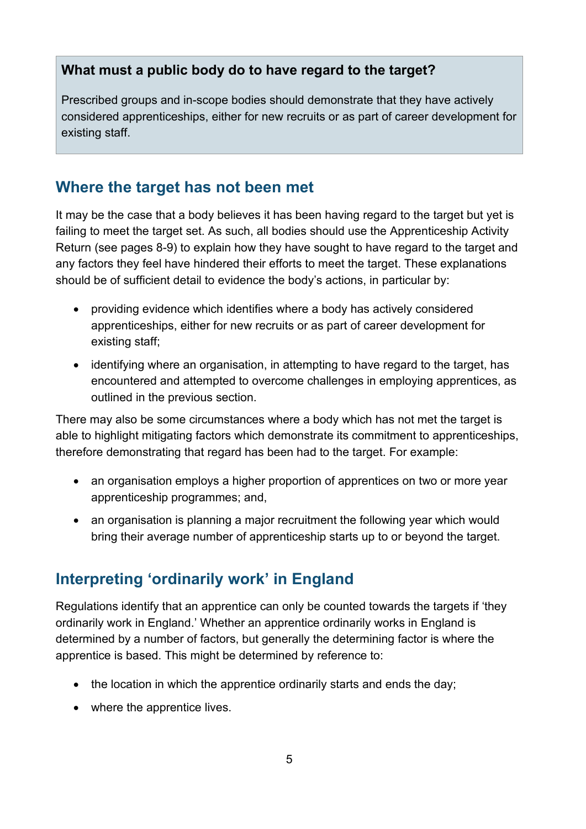# **What must a public body do to have regard to the target?**

Prescribed groups and in-scope bodies should demonstrate that they have actively considered apprenticeships, either for new recruits or as part of career development for existing staff.

# <span id="page-9-0"></span>**Where the target has not been met**

It may be the case that a body believes it has been having regard to the target but yet is failing to meet the target set. As such, all bodies should use the Apprenticeship Activity Return (see pages 8-9) to explain how they have sought to have regard to the target and any factors they feel have hindered their efforts to meet the target. These explanations should be of sufficient detail to evidence the body's actions, in particular by:

- providing evidence which identifies where a body has actively considered apprenticeships, either for new recruits or as part of career development for existing staff;
- identifying where an organisation, in attempting to have regard to the target, has encountered and attempted to overcome challenges in employing apprentices, as outlined in the previous section.

There may also be some circumstances where a body which has not met the target is able to highlight mitigating factors which demonstrate its commitment to apprenticeships, therefore demonstrating that regard has been had to the target. For example:

- an organisation employs a higher proportion of apprentices on two or more year apprenticeship programmes; and,
- an organisation is planning a major recruitment the following year which would bring their average number of apprenticeship starts up to or beyond the target.

# <span id="page-9-1"></span>**Interpreting 'ordinarily work' in England**

Regulations identify that an apprentice can only be counted towards the targets if 'they ordinarily work in England.' Whether an apprentice ordinarily works in England is determined by a number of factors, but generally the determining factor is where the apprentice is based. This might be determined by reference to:

- the location in which the apprentice ordinarily starts and ends the day;
- where the apprentice lives.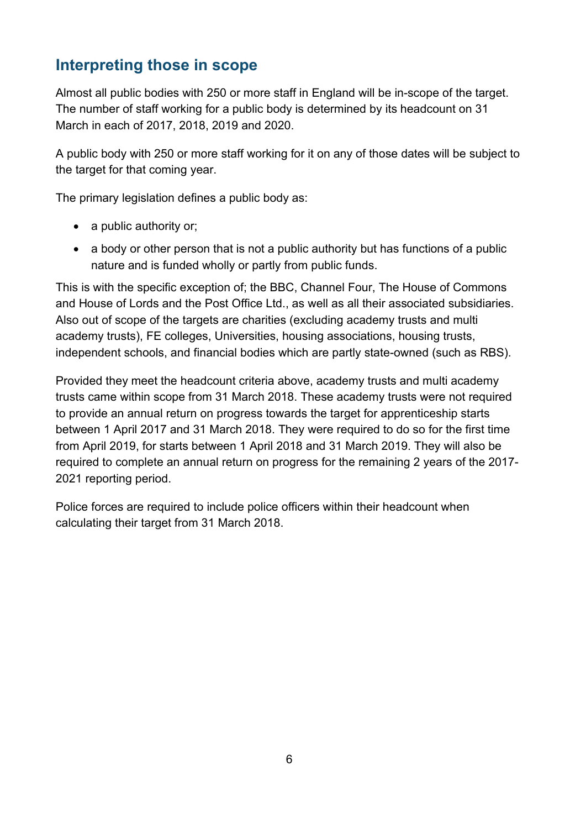# <span id="page-10-0"></span>**Interpreting those in scope**

Almost all public bodies with 250 or more staff in England will be in-scope of the target. The number of staff working for a public body is determined by its headcount on 31 March in each of 2017, 2018, 2019 and 2020.

A public body with 250 or more staff working for it on any of those dates will be subject to the target for that coming year.

The primary legislation defines a public body as:

- a public authority or;
- a body or other person that is not a public authority but has functions of a public nature and is funded wholly or partly from public funds.

This is with the specific exception of; the BBC, Channel Four, The House of Commons and House of Lords and the Post Office Ltd., as well as all their associated subsidiaries. Also out of scope of the targets are charities (excluding academy trusts and multi academy trusts), FE colleges, Universities, housing associations, housing trusts, independent schools, and financial bodies which are partly state-owned (such as RBS).

Provided they meet the headcount criteria above, academy trusts and multi academy trusts came within scope from 31 March 2018. These academy trusts were not required to provide an annual return on progress towards the target for apprenticeship starts between 1 April 2017 and 31 March 2018. They were required to do so for the first time from April 2019, for starts between 1 April 2018 and 31 March 2019. They will also be required to complete an annual return on progress for the remaining 2 years of the 2017- 2021 reporting period.

Police forces are required to include police officers within their headcount when calculating their target from 31 March 2018.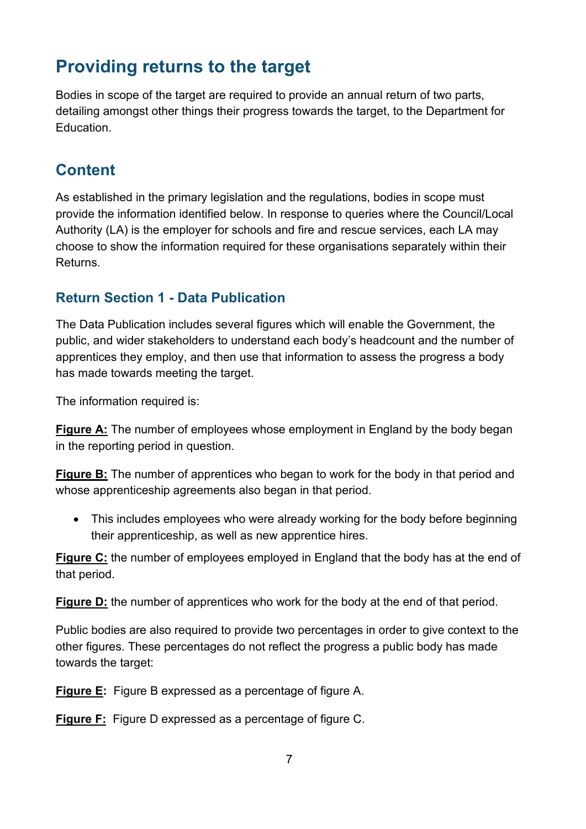# <span id="page-11-0"></span>**Providing returns to the target**

Bodies in scope of the target are required to provide an annual return of two parts, detailing amongst other things their progress towards the target, to the Department for Education.

# <span id="page-11-1"></span>**Content**

As established in the primary legislation and the regulations, bodies in scope must provide the information identified below. In response to queries where the Council/Local Authority (LA) is the employer for schools and fire and rescue services, each LA may choose to show the information required for these organisations separately within their Returns.

# **Return Section 1 - Data Publication**

The Data Publication includes several figures which will enable the Government, the public, and wider stakeholders to understand each body's headcount and the number of apprentices they employ, and then use that information to assess the progress a body has made towards meeting the target.

The information required is:

**Figure A:** The number of employees whose employment in England by the body began in the reporting period in question.

**Figure B:** The number of apprentices who began to work for the body in that period and whose apprenticeship agreements also began in that period.

• This includes employees who were already working for the body before beginning their apprenticeship, as well as new apprentice hires.

**Figure C:** the number of employees employed in England that the body has at the end of that period.

**Figure D:** the number of apprentices who work for the body at the end of that period.

Public bodies are also required to provide two percentages in order to give context to the other figures. These percentages do not reflect the progress a public body has made towards the target:

**Figure E:** Figure B expressed as a percentage of figure A.

**Figure F:** Figure D expressed as a percentage of figure C.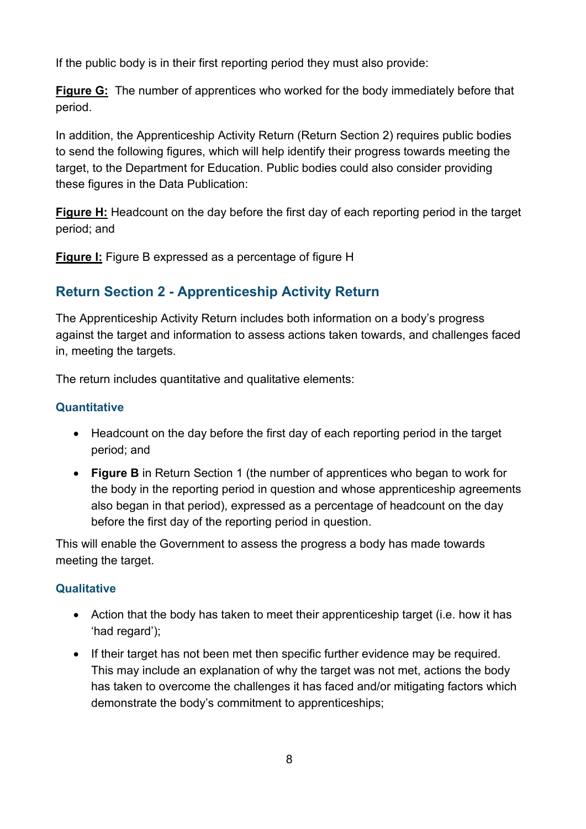If the public body is in their first reporting period they must also provide:

**Figure G:** The number of apprentices who worked for the body immediately before that period.

In addition, the Apprenticeship Activity Return (Return Section 2) requires public bodies to send the following figures, which will help identify their progress towards meeting the target, to the Department for Education. Public bodies could also consider providing these figures in the Data Publication:

**Figure H:** Headcount on the day before the first day of each reporting period in the target period; and

**Figure I:** Figure B expressed as a percentage of figure H

# **Return Section 2 - Apprenticeship Activity Return**

The Apprenticeship Activity Return includes both information on a body's progress against the target and information to assess actions taken towards, and challenges faced in, meeting the targets.

The return includes quantitative and qualitative elements:

#### **Quantitative**

- Headcount on the day before the first day of each reporting period in the target period; and
- **Figure B** in Return Section 1 (the number of apprentices who began to work for the body in the reporting period in question and whose apprenticeship agreements also began in that period), expressed as a percentage of headcount on the day before the first day of the reporting period in question.

This will enable the Government to assess the progress a body has made towards meeting the target.

## **Qualitative**

- Action that the body has taken to meet their apprenticeship target (i.e. how it has 'had regard');
- If their target has not been met then specific further evidence may be required. This may include an explanation of why the target was not met, actions the body has taken to overcome the challenges it has faced and/or mitigating factors which demonstrate the body's commitment to apprenticeships;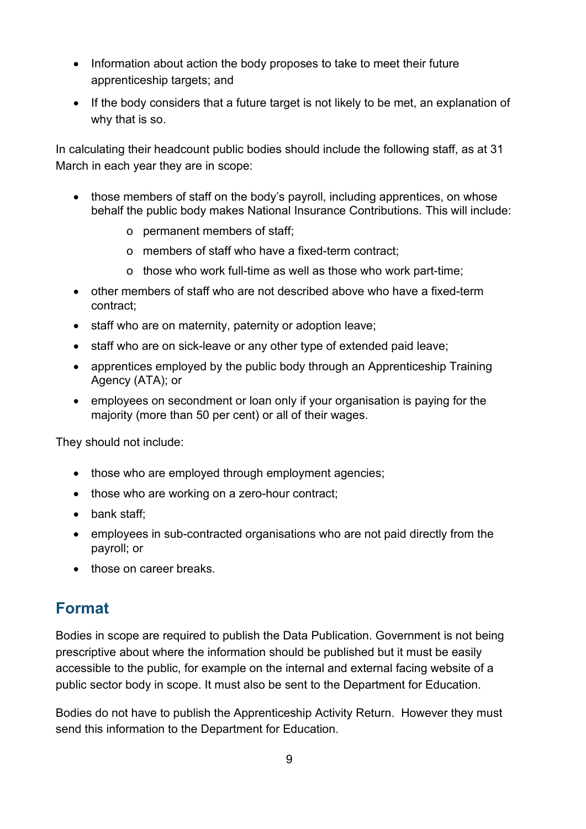- Information about action the body proposes to take to meet their future apprenticeship targets; and
- If the body considers that a future target is not likely to be met, an explanation of why that is so.

In calculating their headcount public bodies should include the following staff, as at 31 March in each year they are in scope:

- those members of staff on the body's payroll, including apprentices, on whose behalf the public body makes National Insurance Contributions. This will include:
	- o permanent members of staff;
	- o members of staff who have a fixed-term contract;
	- o those who work full-time as well as those who work part-time;
- other members of staff who are not described above who have a fixed-term contract;
- staff who are on maternity, paternity or adoption leave;
- staff who are on sick-leave or any other type of extended paid leave;
- apprentices employed by the public body through an Apprenticeship Training Agency (ATA); or
- employees on secondment or loan only if your organisation is paying for the majority (more than 50 per cent) or all of their wages.

They should not include:

- those who are employed through employment agencies;
- those who are working on a zero-hour contract;
- bank staff;
- employees in sub-contracted organisations who are not paid directly from the payroll; or
- those on career breaks.

# <span id="page-13-0"></span>**Format**

Bodies in scope are required to publish the Data Publication. Government is not being prescriptive about where the information should be published but it must be easily accessible to the public, for example on the internal and external facing website of a public sector body in scope. It must also be sent to the Department for Education.

Bodies do not have to publish the Apprenticeship Activity Return. However they must send this information to the Department for Education.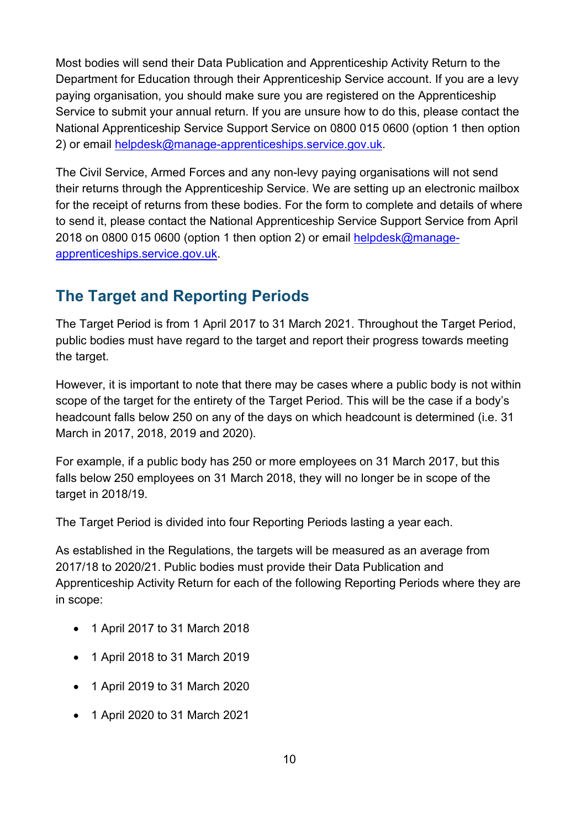Most bodies will send their Data Publication and Apprenticeship Activity Return to the Department for Education through their Apprenticeship Service account. If you are a levy paying organisation, you should make sure you are registered on the Apprenticeship Service to submit your annual return. If you are unsure how to do this, please contact the National Apprenticeship Service Support Service on 0800 015 0600 (option 1 then option 2) or email [helpdesk@manage-apprenticeships.service.gov.uk.](mailto:helpdesk@manage-apprenticeships.service.gov.uk)

The Civil Service, Armed Forces and any non-levy paying organisations will not send their returns through the Apprenticeship Service. We are setting up an electronic mailbox for the receipt of returns from these bodies. For the form to complete and details of where to send it, please contact the National Apprenticeship Service Support Service from April 2018 on 0800 015 0600 (option 1 then option 2) or email [helpdesk@manage](mailto:helpdesk@manage-apprenticeships.service.gov.uk)[apprenticeships.service.gov.uk.](mailto:helpdesk@manage-apprenticeships.service.gov.uk)

# <span id="page-14-0"></span>**The Target and Reporting Periods**

The Target Period is from 1 April 2017 to 31 March 2021. Throughout the Target Period, public bodies must have regard to the target and report their progress towards meeting the target.

However, it is important to note that there may be cases where a public body is not within scope of the target for the entirety of the Target Period. This will be the case if a body's headcount falls below 250 on any of the days on which headcount is determined (i.e. 31 March in 2017, 2018, 2019 and 2020).

For example, if a public body has 250 or more employees on 31 March 2017, but this falls below 250 employees on 31 March 2018, they will no longer be in scope of the target in 2018/19.

The Target Period is divided into four Reporting Periods lasting a year each.

As established in the Regulations, the targets will be measured as an average from 2017/18 to 2020/21. Public bodies must provide their Data Publication and Apprenticeship Activity Return for each of the following Reporting Periods where they are in scope:

- 1 April 2017 to 31 March 2018
- 1 April 2018 to 31 March 2019
- 1 April 2019 to 31 March 2020
- 1 April 2020 to 31 March 2021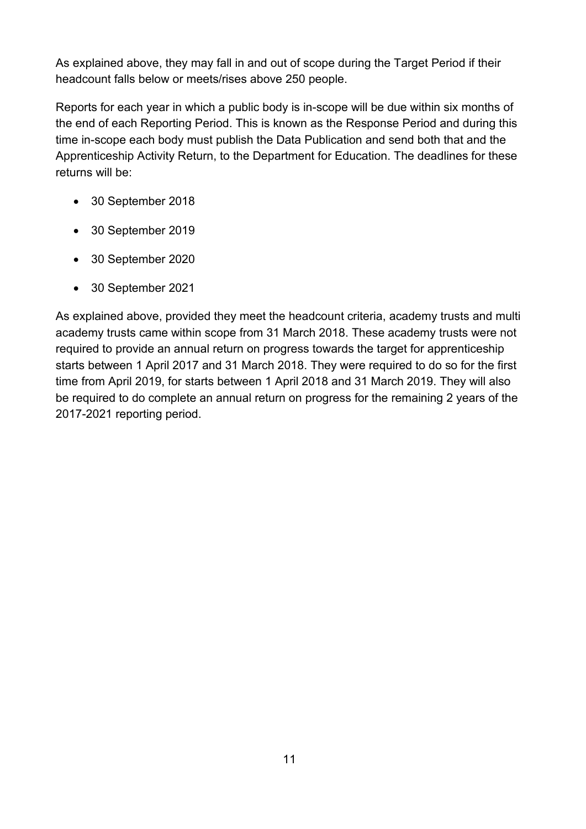As explained above, they may fall in and out of scope during the Target Period if their headcount falls below or meets/rises above 250 people.

Reports for each year in which a public body is in-scope will be due within six months of the end of each Reporting Period. This is known as the Response Period and during this time in-scope each body must publish the Data Publication and send both that and the Apprenticeship Activity Return, to the Department for Education. The deadlines for these returns will be:

- 30 September 2018
- 30 September 2019
- 30 September 2020
- 30 September 2021

As explained above, provided they meet the headcount criteria, academy trusts and multi academy trusts came within scope from 31 March 2018. These academy trusts were not required to provide an annual return on progress towards the target for apprenticeship starts between 1 April 2017 and 31 March 2018. They were required to do so for the first time from April 2019, for starts between 1 April 2018 and 31 March 2019. They will also be required to do complete an annual return on progress for the remaining 2 years of the 2017-2021 reporting period.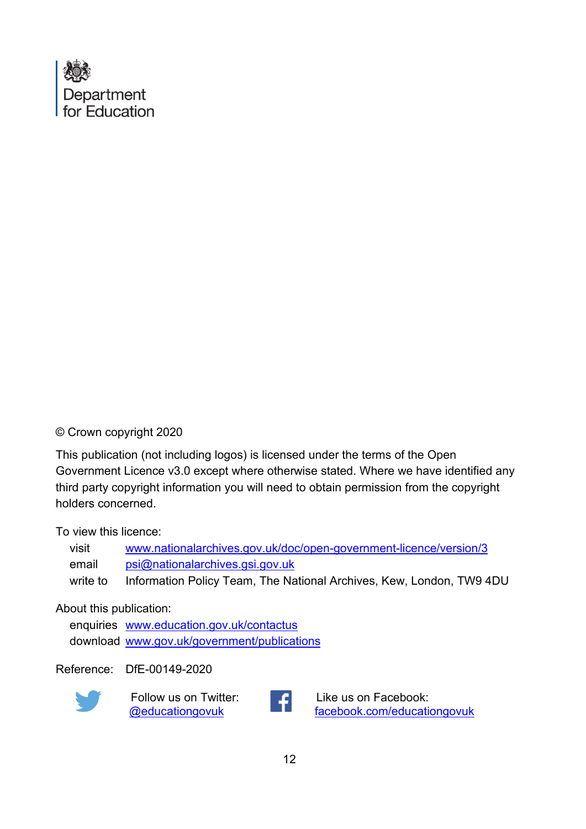

© Crown copyright 2020

This publication (not including logos) is licensed under the terms of the Open Government Licence v3.0 except where otherwise stated. Where we have identified any third party copyright information you will need to obtain permission from the copyright holders concerned.

To view this licence:

| visit    | www.nationalarchives.gov.uk/doc/open-government-licence/version/3    |
|----------|----------------------------------------------------------------------|
| email    | psi@nationalarchives.gsi.gov.uk                                      |
| write to | Information Policy Team, The National Archives, Kew, London, TW9 4DU |

#### About this publication:

enquiries [www.education.gov.uk/contactus](http://www.education.gov.uk/contactus)  download [www.gov.uk/government/publications](https://www.gov.uk/government/publications?keywords=&publication_filter_option=all&departments%5B%5D=department-for-education&commit=Refresh+results) 

Reference: DfE-00149-2020



 Follow us on Twitter: [@educationgovuk](http://twitter.com/educationgovuk)



Like us on Facebook: [facebook.com/educationgovuk](http://www.facebook.com/educationgovuk)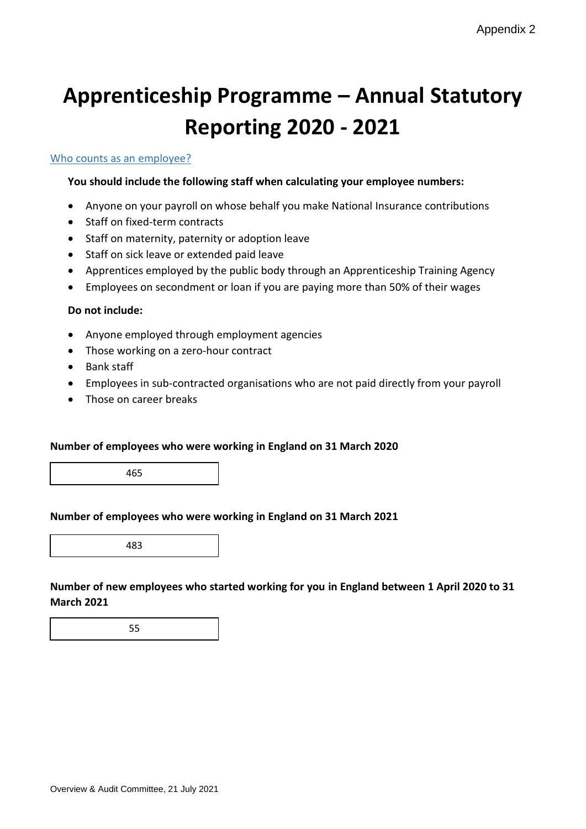# **Apprenticeship Programme – Annual Statutory Reporting 2020 - 2021**

#### Who counts as an employee?

#### **You should include the following staff when calculating your employee numbers:**

- Anyone on your payroll on whose behalf you make National Insurance contributions
- Staff on fixed-term contracts
- Staff on maternity, paternity or adoption leave
- Staff on sick leave or extended paid leave
- Apprentices employed by the public body through an Apprenticeship Training Agency
- Employees on secondment or loan if you are paying more than 50% of their wages

#### **Do not include:**

- Anyone employed through employment agencies
- Those working on a zero-hour contract
- Bank staff
- Employees in sub-contracted organisations who are not paid directly from your payroll
- Those on career breaks

#### **Number of employees who were working in England on 31 March 2020**

465

#### **Number of employees who were working in England on 31 March 2021**

483

**Number of new employees who started working for you in England between 1 April 2020 to 31 March 2021**

55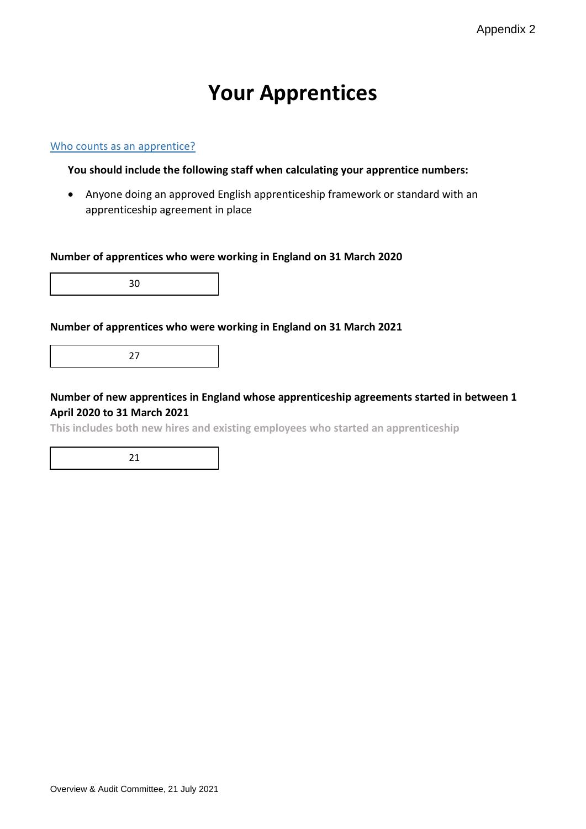# **Your Apprentices**

#### Who counts as an apprentice?

#### **You should include the following staff when calculating your apprentice numbers:**

• Anyone doing an approved English apprenticeship framework or standard with an apprenticeship agreement in place

#### **Number of apprentices who were working in England on 31 March 2020**

30

#### **Number of apprentices who were working in England on 31 March 2021**

27

#### **Number of new apprentices in England whose apprenticeship agreements started in between 1 April 2020 to 31 March 2021**

**This includes both new hires and existing employees who started an apprenticeship**

21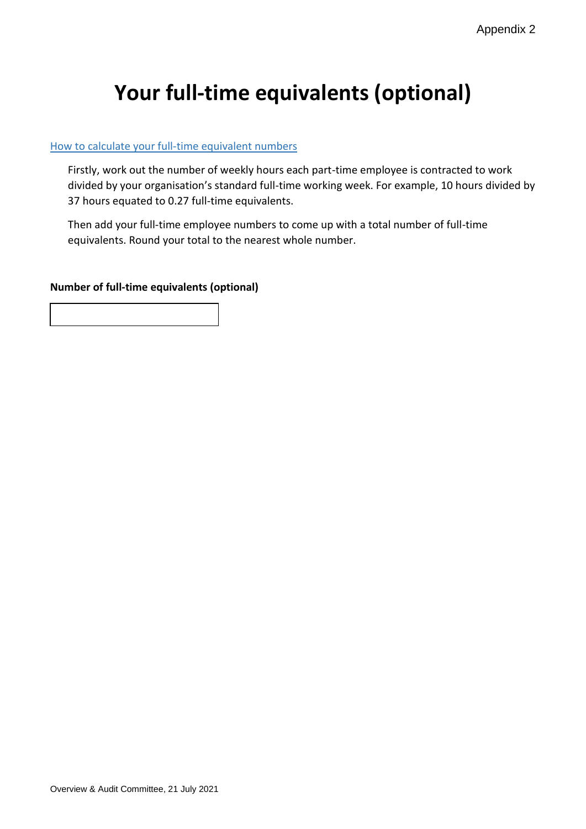# **Your full-time equivalents (optional)**

#### How to calculate your full-time equivalent numbers

Firstly, work out the number of weekly hours each part-time employee is contracted to work divided by your organisation's standard full-time working week. For example, 10 hours divided by 37 hours equated to 0.27 full-time equivalents.

Then add your full-time employee numbers to come up with a total number of full-time equivalents. Round your total to the nearest whole number.

#### **Number of full-time equivalents (optional)**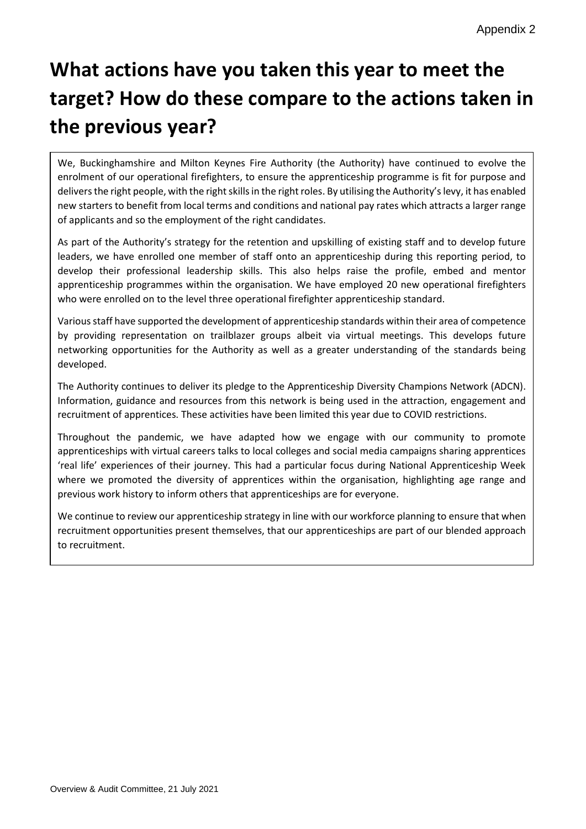# **What actions have you taken this year to meet the target? How do these compare to the actions taken in the previous year?**

We, Buckinghamshire and Milton Keynes Fire Authority (the Authority) have continued to evolve the enrolment of our operational firefighters, to ensure the apprenticeship programme is fit for purpose and delivers the right people, with the right skills in the right roles. By utilising the Authority'slevy, it has enabled new starters to benefit from local terms and conditions and national pay rates which attracts a larger range of applicants and so the employment of the right candidates.

As part of the Authority's strategy for the retention and upskilling of existing staff and to develop future leaders, we have enrolled one member of staff onto an apprenticeship during this reporting period, to develop their professional leadership skills. This also helps raise the profile, embed and mentor apprenticeship programmes within the organisation. We have employed 20 new operational firefighters who were enrolled on to the level three operational firefighter apprenticeship standard.

Various staff have supported the development of apprenticeship standards within their area of competence by providing representation on trailblazer groups albeit via virtual meetings. This develops future networking opportunities for the Authority as well as a greater understanding of the standards being developed.

The Authority continues to deliver its pledge to the Apprenticeship Diversity Champions Network (ADCN). Information, guidance and resources from this network is being used in the attraction, engagement and recruitment of apprentices. These activities have been limited this year due to COVID restrictions.

Throughout the pandemic, we have adapted how we engage with our community to promote apprenticeships with virtual careers talks to local colleges and social media campaigns sharing apprentices 'real life' experiences of their journey. This had a particular focus during National Apprenticeship Week where we promoted the diversity of apprentices within the organisation, highlighting age range and previous work history to inform others that apprenticeships are for everyone.

We continue to review our apprenticeship strategy in line with our workforce planning to ensure that when recruitment opportunities present themselves, that our apprenticeships are part of our blended approach to recruitment.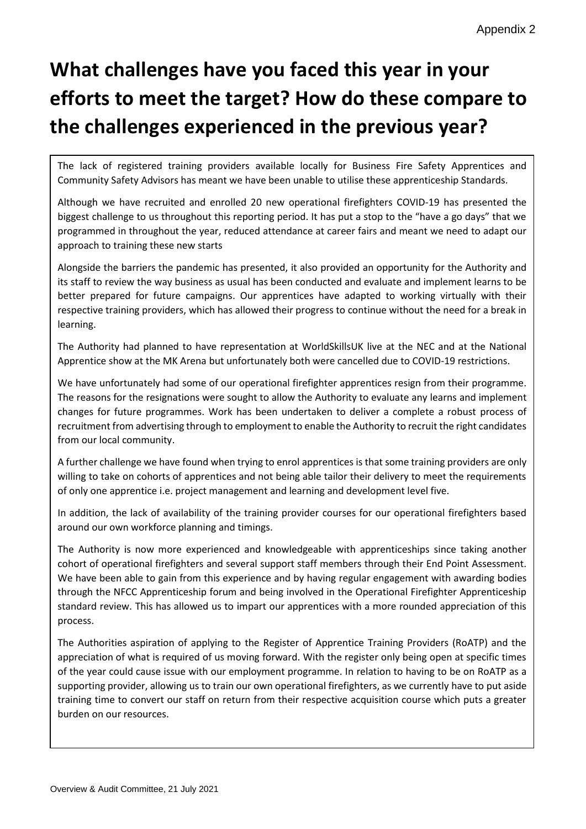# **What challenges have you faced this year in your efforts to meet the target? How do these compare to the challenges experienced in the previous year?**

The lack of registered training providers available locally for Business Fire Safety Apprentices and Community Safety Advisors has meant we have been unable to utilise these apprenticeship Standards.

Although we have recruited and enrolled 20 new operational firefighters COVID-19 has presented the biggest challenge to us throughout this reporting period. It has put a stop to the "have a go days" that we programmed in throughout the year, reduced attendance at career fairs and meant we need to adapt our approach to training these new starts

Alongside the barriers the pandemic has presented, it also provided an opportunity for the Authority and its staff to review the way business as usual has been conducted and evaluate and implement learns to be better prepared for future campaigns. Our apprentices have adapted to working virtually with their respective training providers, which has allowed their progress to continue without the need for a break in learning.

The Authority had planned to have representation at WorldSkillsUK live at the NEC and at the National Apprentice show at the MK Arena but unfortunately both were cancelled due to COVID-19 restrictions.

We have unfortunately had some of our operational firefighter apprentices resign from their programme. The reasons for the resignations were sought to allow the Authority to evaluate any learns and implement changes for future programmes. Work has been undertaken to deliver a complete a robust process of recruitment from advertising through to employment to enable the Authority to recruit the right candidates from our local community.

A further challenge we have found when trying to enrol apprentices is that some training providers are only willing to take on cohorts of apprentices and not being able tailor their delivery to meet the requirements of only one apprentice i.e. project management and learning and development level five.

In addition, the lack of availability of the training provider courses for our operational firefighters based around our own workforce planning and timings.

The Authority is now more experienced and knowledgeable with apprenticeships since taking another cohort of operational firefighters and several support staff members through their End Point Assessment. We have been able to gain from this experience and by having regular engagement with awarding bodies through the NFCC Apprenticeship forum and being involved in the Operational Firefighter Apprenticeship standard review. This has allowed us to impart our apprentices with a more rounded appreciation of this process.

The Authorities aspiration of applying to the Register of Apprentice Training Providers (RoATP) and the appreciation of what is required of us moving forward. With the register only being open at specific times of the year could cause issue with our employment programme. In relation to having to be on RoATP as a supporting provider, allowing us to train our own operational firefighters, as we currently have to put aside training time to convert our staff on return from their respective acquisition course which puts a greater burden on our resources.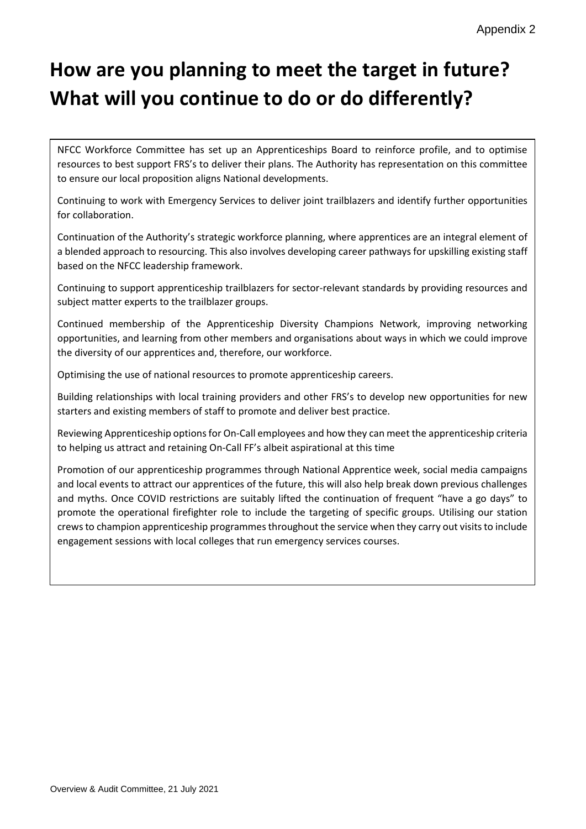# **How are you planning to meet the target in future? What will you continue to do or do differently?**

NFCC Workforce Committee has set up an Apprenticeships Board to reinforce profile, and to optimise resources to best support FRS's to deliver their plans. The Authority has representation on this committee to ensure our local proposition aligns National developments.

Continuing to work with Emergency Services to deliver joint trailblazers and identify further opportunities for collaboration.

Continuation of the Authority's strategic workforce planning, where apprentices are an integral element of a blended approach to resourcing. This also involves developing career pathways for upskilling existing staff based on the NFCC leadership framework.

Continuing to support apprenticeship trailblazers for sector-relevant standards by providing resources and subject matter experts to the trailblazer groups.

Continued membership of the Apprenticeship Diversity Champions Network, improving networking opportunities, and learning from other members and organisations about ways in which we could improve the diversity of our apprentices and, therefore, our workforce.

Optimising the use of national resources to promote apprenticeship careers.

Building relationships with local training providers and other FRS's to develop new opportunities for new starters and existing members of staff to promote and deliver best practice.

Reviewing Apprenticeship options for On-Call employees and how they can meet the apprenticeship criteria to helping us attract and retaining On-Call FF's albeit aspirational at this time

Promotion of our apprenticeship programmes through National Apprentice week, social media campaigns and local events to attract our apprentices of the future, this will also help break down previous challenges and myths. Once COVID restrictions are suitably lifted the continuation of frequent "have a go days" to promote the operational firefighter role to include the targeting of specific groups. Utilising our station crews to champion apprenticeship programmes throughout the service when they carry out visits to include engagement sessions with local colleges that run emergency services courses.